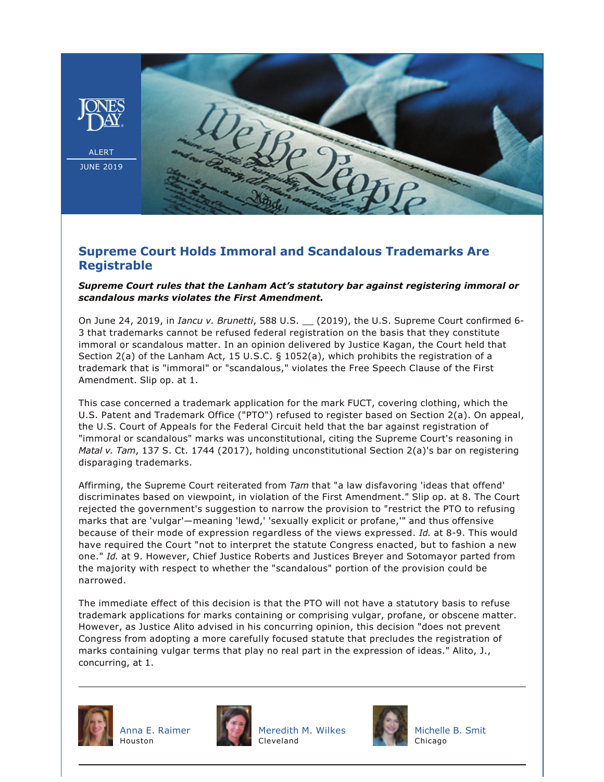

## **Supreme Court Holds Immoral and Scandalous Trademarks Are Registrable**

## *Supreme Court rules that the Lanham Act's statutory bar against registering immoral or scandalous marks violates the First Amendment.*

On June 24, 2019, in *Iancu v. Brunetti*, 588 U.S. \_\_ (2019), the U.S. Supreme Court confirmed 6 3 that trademarks cannot be refused federal registration on the basis that they constitute immoral or scandalous matter. In an opinion delivered by Justice Kagan, the Court held that Section 2(a) of the Lanham Act, 15 U.S.C. § 1052(a), which prohibits the registration of a trademark that is "immoral" or "scandalous," violates the Free Speech Clause of the First Amendment. Slip op. at 1.

This case concerned a trademark application for the mark FUCT, covering clothing, which the U.S. Patent and Trademark Office ("PTO") refused to register based on Section 2(a). On appeal, the U.S. Court of Appeals for the Federal Circuit held that the bar against registration of "immoral or scandalous" marks was unconstitutional, citing the Supreme Court's reasoning in *Matal v. Tam*, 137 S. Ct. 1744 (2017), holding unconstitutional Section 2(a)'s bar on registering disparaging trademarks.

Affirming, the Supreme Court reiterated from *Tam* that "a law disfavoring 'ideas that offend' discriminates based on viewpoint, in violation of the First Amendment." Slip op. at 8. The Court rejected the government's suggestion to narrow the provision to "restrict the PTO to refusing marks that are 'vulgar'—meaning 'lewd,' 'sexually explicit or profane,'" and thus offensive because of their mode of expression regardless of the views expressed. *Id.* at 8-9. This would have required the Court "not to interpret the statute Congress enacted, but to fashion a new one." *Id.* at 9. However, Chief Justice Roberts and Justices Breyer and Sotomayor parted from the majority with respect to whether the "scandalous" portion of the provision could be narrowed.

The immediate effect of this decision is that the PTO will not have a statutory basis to refuse trademark applications for marks containing or comprising vulgar, profane, or obscene matter. However, as Justice Alito advised in his concurring opinion, this decision "does not prevent Congress from adopting a more carefully focused statute that precludes the registration of marks containing vulgar terms that play no real part in the expression of ideas." Alito, J., concurring, at 1.







[Meredith M. Wilkes](https://www.jonesday.com/mwilkes/) Cleveland



[Michelle B. Smit](https://www.jonesday.com/msmit/) **Chicago**